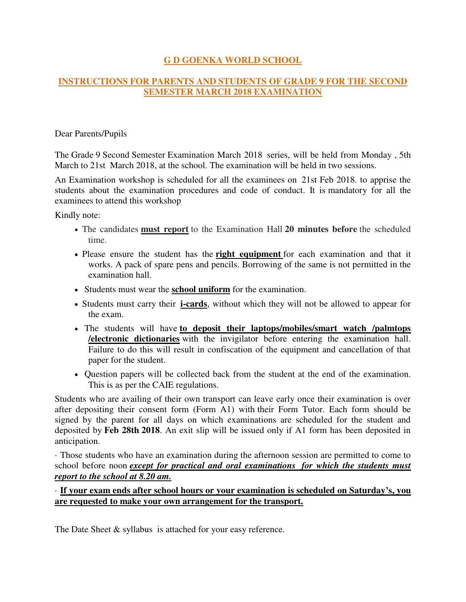## **G D GOENKA WORLD SCHOOL**

## **INSTRUCTIONS FOR PARENTS AND STUDENTS OF GRADE 9 FOR THE SECOND SEMESTER MARCH 2018 EXAMINATION**

Dear Parents/Pupils

The Grade 9 Second Semester Examination March 2018 series, will be held from Monday , 5th March to 21st March 2018, at the school. The examination will be held in two sessions.

An Examination workshop is scheduled for all the examinees on 21st Feb 2018. to apprise the students about the examination procedures and code of conduct. It is mandatory for all the examinees to attend this workshop

Kindly note:

- The candidates **must report** to the Examination Hall **20 minutes before** the scheduled time.
- Please ensure the student has the **right equipment** for each examination and that it works. A pack of spare pens and pencils. Borrowing of the same is not permitted in the examination hall.
- Students must wear the **school uniform** for the examination.
- Students must carry their **i-cards**, without which they will not be allowed to appear for the exam.
- The students will have **to deposit their laptops/mobiles/smart watch /palmtops /electronic dictionaries** with the invigilator before entering the examination hall. Failure to do this will result in confiscation of the equipment and cancellation of that paper for the student.
- Question papers will be collected back from the student at the end of the examination. This is as per the CAIE regulations.

Students who are availing of their own transport can leave early once their examination is over after depositing their consent form (Form A1) with their Form Tutor. Each form should be signed by the parent for all days on which examinations are scheduled for the student and deposited by **Feb 28th 2018**. An exit slip will be issued only if A1 form has been deposited in anticipation.

· Those students who have an examination during the afternoon session are permitted to come to school before noon *except for practical and oral examinations for which the students must report to the school at 8.20 am.*

## · **If your exam ends after school hours or your examination is scheduled on Saturday's, you are requested to make your own arrangement for the transport.**

The Date Sheet & syllabus is attached for your easy reference.